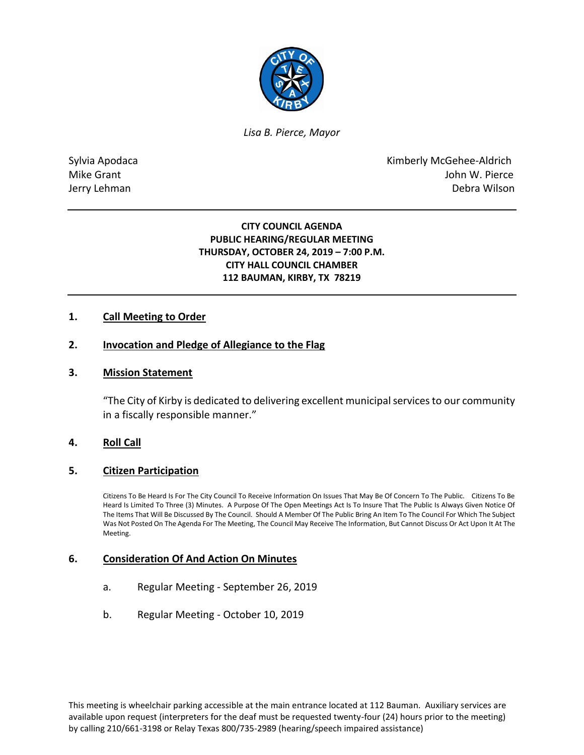

*Lisa B. Pierce, Mayor* 

Sylvia Apodaca National According Control of American Control of Kimberly McGehee-Aldrich Mike Grant **Mike Grant** John W. Pierce Jerry Lehman Debra Wilson

> **CITY COUNCIL AGENDA PUBLIC HEARING/REGULAR MEETING THURSDAY, OCTOBER 24, 2019 – 7:00 P.M. CITY HALL COUNCIL CHAMBER 112 BAUMAN, KIRBY, TX 78219**

### **1. Call Meeting to Order**

### **2. Invocation and Pledge of Allegiance to the Flag**

### **3. Mission Statement**

"The City of Kirby is dedicated to delivering excellent municipal services to our community in a fiscally responsible manner."

### **4. Roll Call**

### **5. Citizen Participation**

Citizens To Be Heard Is For The City Council To Receive Information On Issues That May Be Of Concern To The Public. Citizens To Be Heard Is Limited To Three (3) Minutes. A Purpose Of The Open Meetings Act Is To Insure That The Public Is Always Given Notice Of The Items That Will Be Discussed By The Council. Should A Member Of The Public Bring An Item To The Council For Which The Subject Was Not Posted On The Agenda For The Meeting, The Council May Receive The Information, But Cannot Discuss Or Act Upon It At The Meeting.

### **6. Consideration Of And Action On Minutes**

- a. Regular Meeting September 26, 2019
- b. Regular Meeting October 10, 2019

This meeting is wheelchair parking accessible at the main entrance located at 112 Bauman. Auxiliary services are available upon request (interpreters for the deaf must be requested twenty-four (24) hours prior to the meeting) by calling 210/661-3198 or Relay Texas 800/735-2989 (hearing/speech impaired assistance)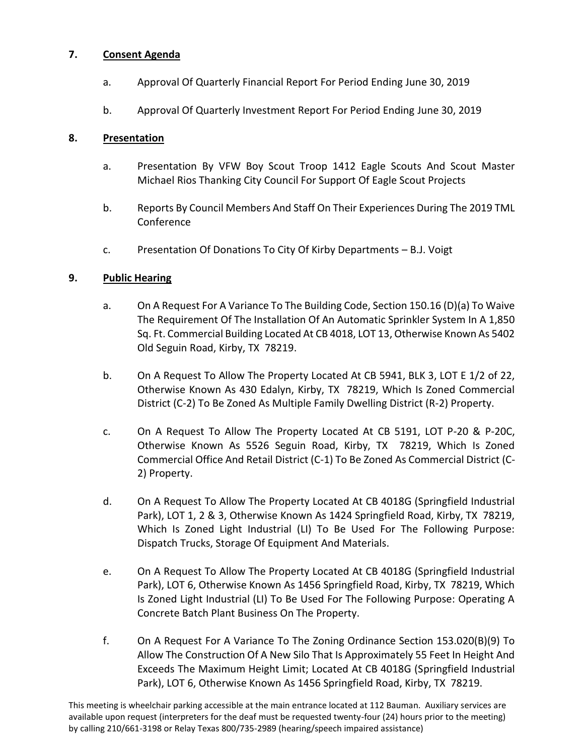## **7. Consent Agenda**

- a. Approval Of Quarterly Financial Report For Period Ending June 30, 2019
- b. Approval Of Quarterly Investment Report For Period Ending June 30, 2019

### **8. Presentation**

- a. Presentation By VFW Boy Scout Troop 1412 Eagle Scouts And Scout Master Michael Rios Thanking City Council For Support Of Eagle Scout Projects
- b. Reports By Council Members And Staff On Their Experiences During The 2019 TML Conference
- c. Presentation Of Donations To City Of Kirby Departments B.J. Voigt

## **9. Public Hearing**

- a. On A Request For A Variance To The Building Code, Section 150.16 (D)(a) To Waive The Requirement Of The Installation Of An Automatic Sprinkler System In A 1,850 Sq. Ft. Commercial Building Located At CB 4018, LOT 13, Otherwise Known As 5402 Old Seguin Road, Kirby, TX 78219.
- b. On A Request To Allow The Property Located At CB 5941, BLK 3, LOT E 1/2 of 22, Otherwise Known As 430 Edalyn, Kirby, TX 78219, Which Is Zoned Commercial District (C-2) To Be Zoned As Multiple Family Dwelling District (R-2) Property.
- c. On A Request To Allow The Property Located At CB 5191, LOT P-20 & P-20C, Otherwise Known As 5526 Seguin Road, Kirby, TX 78219, Which Is Zoned Commercial Office And Retail District (C-1) To Be Zoned As Commercial District (C-2) Property.
- d. On A Request To Allow The Property Located At CB 4018G (Springfield Industrial Park), LOT 1, 2 & 3, Otherwise Known As 1424 Springfield Road, Kirby, TX 78219, Which Is Zoned Light Industrial (LI) To Be Used For The Following Purpose: Dispatch Trucks, Storage Of Equipment And Materials.
- e. On A Request To Allow The Property Located At CB 4018G (Springfield Industrial Park), LOT 6, Otherwise Known As 1456 Springfield Road, Kirby, TX 78219, Which Is Zoned Light Industrial (LI) To Be Used For The Following Purpose: Operating A Concrete Batch Plant Business On The Property.
- f. On A Request For A Variance To The Zoning Ordinance Section 153.020(B)(9) To Allow The Construction Of A New Silo That Is Approximately 55 Feet In Height And Exceeds The Maximum Height Limit; Located At CB 4018G (Springfield Industrial Park), LOT 6, Otherwise Known As 1456 Springfield Road, Kirby, TX 78219.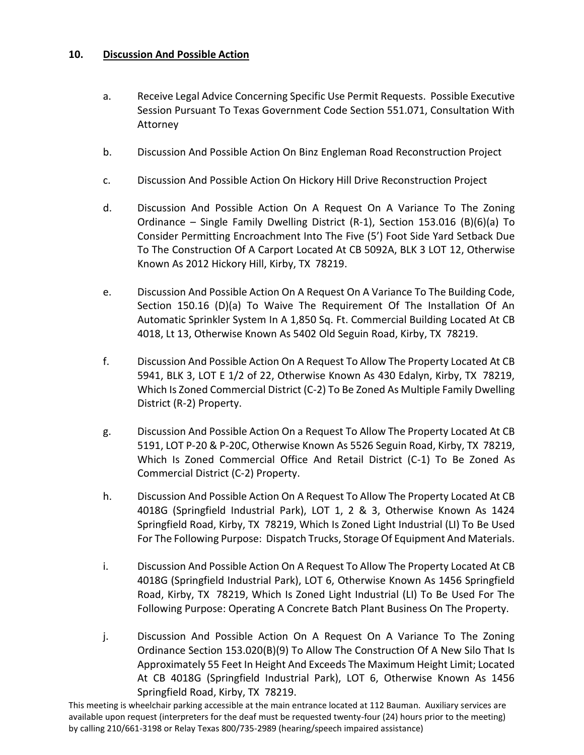## **10. Discussion And Possible Action**

- a. Receive Legal Advice Concerning Specific Use Permit Requests. Possible Executive Session Pursuant To Texas Government Code Section 551.071, Consultation With Attorney
- b. Discussion And Possible Action On Binz Engleman Road Reconstruction Project
- c. Discussion And Possible Action On Hickory Hill Drive Reconstruction Project
- d. Discussion And Possible Action On A Request On A Variance To The Zoning Ordinance – Single Family Dwelling District (R-1), Section 153.016 (B)(6)(a) To Consider Permitting Encroachment Into The Five (5') Foot Side Yard Setback Due To The Construction Of A Carport Located At CB 5092A, BLK 3 LOT 12, Otherwise Known As 2012 Hickory Hill, Kirby, TX 78219.
- e. Discussion And Possible Action On A Request On A Variance To The Building Code, Section 150.16 (D)(a) To Waive The Requirement Of The Installation Of An Automatic Sprinkler System In A 1,850 Sq. Ft. Commercial Building Located At CB 4018, Lt 13, Otherwise Known As 5402 Old Seguin Road, Kirby, TX 78219.
- f. Discussion And Possible Action On A Request To Allow The Property Located At CB 5941, BLK 3, LOT E 1/2 of 22, Otherwise Known As 430 Edalyn, Kirby, TX 78219, Which Is Zoned Commercial District (C-2) To Be Zoned As Multiple Family Dwelling District (R-2) Property.
- g. Discussion And Possible Action On a Request To Allow The Property Located At CB 5191, LOT P-20 & P-20C, Otherwise Known As 5526 Seguin Road, Kirby, TX 78219, Which Is Zoned Commercial Office And Retail District (C-1) To Be Zoned As Commercial District (C-2) Property.
- h. Discussion And Possible Action On A Request To Allow The Property Located At CB 4018G (Springfield Industrial Park), LOT 1, 2 & 3, Otherwise Known As 1424 Springfield Road, Kirby, TX 78219, Which Is Zoned Light Industrial (LI) To Be Used For The Following Purpose: Dispatch Trucks, Storage Of Equipment And Materials.
- i. Discussion And Possible Action On A Request To Allow The Property Located At CB 4018G (Springfield Industrial Park), LOT 6, Otherwise Known As 1456 Springfield Road, Kirby, TX 78219, Which Is Zoned Light Industrial (LI) To Be Used For The Following Purpose: Operating A Concrete Batch Plant Business On The Property.
- j. Discussion And Possible Action On A Request On A Variance To The Zoning Ordinance Section 153.020(B)(9) To Allow The Construction Of A New Silo That Is Approximately 55 Feet In Height And Exceeds The Maximum Height Limit; Located At CB 4018G (Springfield Industrial Park), LOT 6, Otherwise Known As 1456 Springfield Road, Kirby, TX 78219.

This meeting is wheelchair parking accessible at the main entrance located at 112 Bauman. Auxiliary services are available upon request (interpreters for the deaf must be requested twenty-four (24) hours prior to the meeting) by calling 210/661-3198 or Relay Texas 800/735-2989 (hearing/speech impaired assistance)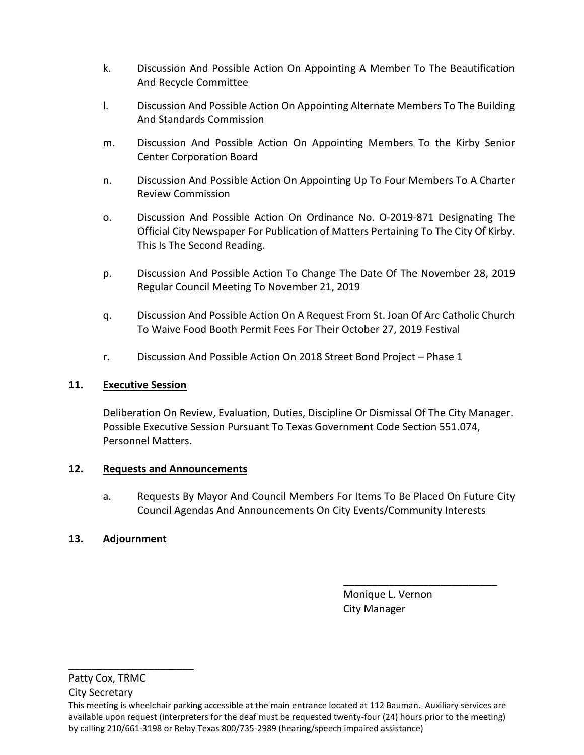- k. Discussion And Possible Action On Appointing A Member To The Beautification And Recycle Committee
- l. Discussion And Possible Action On Appointing Alternate Members To The Building And Standards Commission
- m. Discussion And Possible Action On Appointing Members To the Kirby Senior Center Corporation Board
- n. Discussion And Possible Action On Appointing Up To Four Members To A Charter Review Commission
- o. Discussion And Possible Action On Ordinance No. O-2019-871 Designating The Official City Newspaper For Publication of Matters Pertaining To The City Of Kirby. This Is The Second Reading.
- p. Discussion And Possible Action To Change The Date Of The November 28, 2019 Regular Council Meeting To November 21, 2019
- q. Discussion And Possible Action On A Request From St. Joan Of Arc Catholic Church To Waive Food Booth Permit Fees For Their October 27, 2019 Festival
- r. Discussion And Possible Action On 2018 Street Bond Project Phase 1

# **11. Executive Session**

Deliberation On Review, Evaluation, Duties, Discipline Or Dismissal Of The City Manager. Possible Executive Session Pursuant To Texas Government Code Section 551.074, Personnel Matters.

# **12. Requests and Announcements**

a. Requests By Mayor And Council Members For Items To Be Placed On Future City Council Agendas And Announcements On City Events/Community Interests

# **13. Adjournment**

 Monique L. Vernon City Manager

\_\_\_\_\_\_\_\_\_\_\_\_\_\_\_\_\_\_\_\_\_\_\_\_\_\_\_

Patty Cox, TRMC City Secretary

\_\_\_\_\_\_\_\_\_\_\_\_\_\_\_\_\_\_\_\_\_\_

This meeting is wheelchair parking accessible at the main entrance located at 112 Bauman. Auxiliary services are available upon request (interpreters for the deaf must be requested twenty-four (24) hours prior to the meeting) by calling 210/661-3198 or Relay Texas 800/735-2989 (hearing/speech impaired assistance)